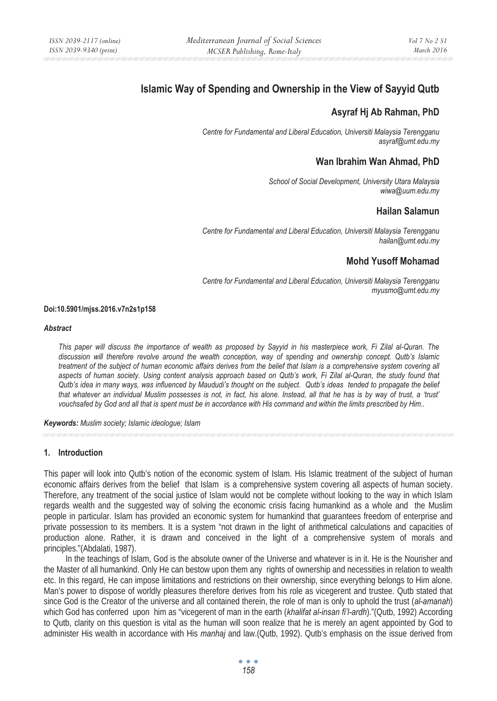# **Islamic Way of Spending and Ownership in the View of Sayyid Qutb**

# **Asyraf Hj Ab Rahman, PhD**

*Centre for Fundamental and Liberal Education, Universiti Malaysia Terengganu asyraf@umt.edu.my* 

## **Wan Ibrahim Wan Ahmad, PhD**

*School of Social Development, University Utara Malaysia wiwa@uum.edu.my* 

# **Hailan Salamun**

*Centre for Fundamental and Liberal Education, Universiti Malaysia Terengganu hailan@umt.edu.my* 

# **Mohd Yusoff Mohamad**

*Centre for Fundamental and Liberal Education, Universiti Malaysia Terengganu myusmo@umt.edu.my* 

#### **Doi:10.5901/mjss.2016.v7n2s1p158**

#### *Abstract*

*This paper will discuss the importance of wealth as proposed by Sayyid in his masterpiece work, Fi Zilal al-Quran. The discussion will therefore revolve around the wealth conception, way of spending and ownership concept. Qutb's Islamic treatment of the subject of human economic affairs derives from the belief that Islam is a comprehensive system covering all aspects of human society. Using content analysis approach based on Qutb's work, Fi Zilal al-Quran, the study found that Qutb's idea in many ways, was influenced by Maududi's thought on the subject. Qutb's ideas tended to propagate the belief that whatever an individual Muslim possesses is not, in fact, his alone. Instead, all that he has is by way of trust, a 'trust' vouchsafed by God and all that is spent must be in accordance with His command and within the limits prescribed by Him..* 

*Keywords: Muslim society; Islamic ideologue; Islam*

#### **1. Introduction**

This paper will look into Qutb's notion of the economic system of Islam. His Islamic treatment of the subject of human economic affairs derives from the belief that Islam is a comprehensive system covering all aspects of human society. Therefore, any treatment of the social justice of Islam would not be complete without looking to the way in which Islam regards wealth and the suggested way of solving the economic crisis facing humankind as a whole and the Muslim people in particular. Islam has provided an economic system for humankind that guarantees freedom of enterprise and private possession to its members. It is a system "not drawn in the light of arithmetical calculations and capacities of production alone. Rather, it is drawn and conceived in the light of a comprehensive system of morals and principles."(Abdalati, 1987).

In the teachings of Islam, God is the absolute owner of the Universe and whatever is in it. He is the Nourisher and the Master of all humankind. Only He can bestow upon them any rights of ownership and necessities in relation to wealth etc. In this regard, He can impose limitations and restrictions on their ownership, since everything belongs to Him alone. Man's power to dispose of worldly pleasures therefore derives from his role as vicegerent and trustee. Qutb stated that since God is the Creator of the universe and all contained therein, the role of man is only to uphold the trust (*al-amanah*) which God has conferred upon him as "vicegerent of man in the earth (*khalifat al-insan fi'l-ardh*)."(Qutb, 1992) According to Qutb, clarity on this question is vital as the human will soon realize that he is merely an agent appointed by God to administer His wealth in accordance with His *manhaj* and law.(Qutb, 1992). Qutb's emphasis on the issue derived from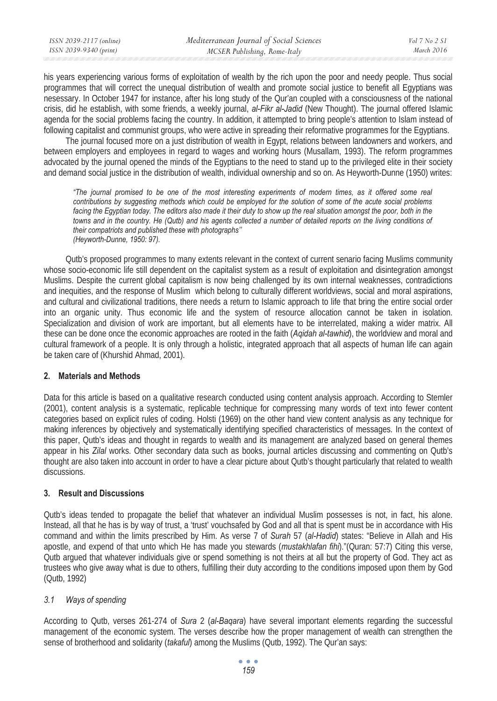his years experiencing various forms of exploitation of wealth by the rich upon the poor and needy people. Thus social programmes that will correct the unequal distribution of wealth and promote social justice to benefit all Egyptians was nesessary. In October 1947 for instance, after his long study of the Qur'an coupled with a consciousness of the national crisis, did he establish, with some friends, a weekly journal, *al-Fikr al-Jadid* (New Thought). The journal offered Islamic agenda for the social problems facing the country. In addition, it attempted to bring people's attention to Islam instead of following capitalist and communist groups, who were active in spreading their reformative programmes for the Egyptians.

The journal focused more on a just distribution of wealth in Egypt, relations between landowners and workers, and between employers and employees in regard to wages and working hours (Musallam, 1993). The reform programmes advocated by the journal opened the minds of the Egyptians to the need to stand up to the privileged elite in their society and demand social justice in the distribution of wealth, individual ownership and so on. As Heyworth-Dunne (1950) writes:

*"The journal promised to be one of the most interesting experiments of modern times, as it offered some real contributions by suggesting methods which could be employed for the solution of some of the acute social problems*  facing the Egyptian today. The editors also made it their duty to show up the real situation amongst the poor, both in the *towns and in the country. He (Qutb) and his agents collected a number of detailed reports on the living conditions of their compatriots and published these with photographs'' (Heyworth-Dunne, 1950: 97).* 

Qutb's proposed programmes to many extents relevant in the context of current senario facing Muslims community whose socio-economic life still dependent on the capitalist system as a result of exploitation and disintegration amongst Muslims. Despite the current global capitalism is now being challenged by its own internal weaknesses, contradictions and inequities, and the response of Muslim which belong to culturally different worldviews, social and moral aspirations, and cultural and civilizational traditions, there needs a return to Islamic approach to life that bring the entire social order into an organic unity. Thus economic life and the system of resource allocation cannot be taken in isolation. Specialization and division of work are important, but all elements have to be interrelated, making a wider matrix. All these can be done once the economic approaches are rooted in the faith (*Aqidah al-tawhid*), the worldview and moral and cultural framework of a people. It is only through a holistic, integrated approach that all aspects of human life can again be taken care of (Khurshid Ahmad, 2001).

### **2. Materials and Methods**

Data for this article is based on a qualitative research conducted using content analysis approach. According to Stemler (2001), content analysis is a systematic, replicable technique for compressing many words of text into fewer content categories based on explicit rules of coding. Holsti (1969) on the other hand view content analysis as any technique for making inferences by objectively and systematically identifying specified characteristics of messages. In the context of this paper, Qutb's ideas and thought in regards to wealth and its management are analyzed based on general themes appear in his *Zilal* works. Other secondary data such as books, journal articles discussing and commenting on Qutb's thought are also taken into account in order to have a clear picture about Qutb's thought particularly that related to wealth discussions.

### **3. Result and Discussions**

Qutb's ideas tended to propagate the belief that whatever an individual Muslim possesses is not, in fact, his alone. Instead, all that he has is by way of trust, a 'trust' vouchsafed by God and all that is spent must be in accordance with His command and within the limits prescribed by Him. As verse 7 of *Surah* 57 (*al-Hadid*) states: "Believe in Allah and His apostle, and expend of that unto which He has made you stewards (*mustakhlafan fihi*)."(Quran: 57:7) Citing this verse, Qutb argued that whatever individuals give or spend something is not theirs at all but the property of God. They act as trustees who give away what is due to others, fulfilling their duty according to the conditions imposed upon them by God (Qutb, 1992)

### *3.1 Ways of spending*

According to Qutb, verses 261-274 of *Sura* 2 (*al-Baqara*) have several important elements regarding the successful management of the economic system. The verses describe how the proper management of wealth can strengthen the sense of brotherhood and solidarity (*takaful*) among the Muslims (Qutb, 1992). The Qur'an says: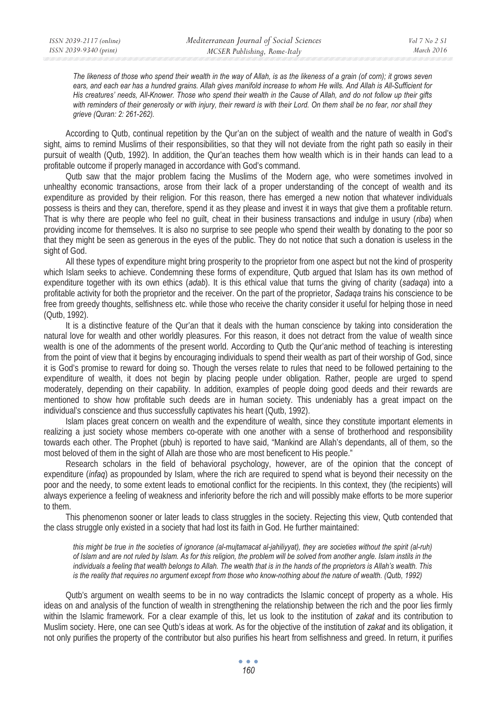*The likeness of those who spend their wealth in the way of Allah, is as the likeness of a grain (of corn); it grows seven ears, and each ear has a hundred grains. Allah gives manifold increase to whom He wills. And Allah is All-Sufficient for His creatures' needs, All-Knower. Those who spend their wealth in the Cause of Allah, and do not follow up their gifts with reminders of their generosity or with injury, their reward is with their Lord. On them shall be no fear, nor shall they grieve (Quran: 2: 261-262).* 

According to Qutb, continual repetition by the Qur'an on the subject of wealth and the nature of wealth in God's sight, aims to remind Muslims of their responsibilities, so that they will not deviate from the right path so easily in their pursuit of wealth (Qutb, 1992). In addition, the Qur'an teaches them how wealth which is in their hands can lead to a profitable outcome if properly managed in accordance with God's command.

Qutb saw that the major problem facing the Muslims of the Modern age, who were sometimes involved in unhealthy economic transactions, arose from their lack of a proper understanding of the concept of wealth and its expenditure as provided by their religion. For this reason, there has emerged a new notion that whatever individuals possess is theirs and they can, therefore, spend it as they please and invest it in ways that give them a profitable return. That is why there are people who feel no guilt, cheat in their business transactions and indulge in usury (*riba*) when providing income for themselves. It is also no surprise to see people who spend their wealth by donating to the poor so that they might be seen as generous in the eyes of the public. They do not notice that such a donation is useless in the sight of God.

All these types of expenditure might bring prosperity to the proprietor from one aspect but not the kind of prosperity which Islam seeks to achieve. Condemning these forms of expenditure, Qutb argued that Islam has its own method of expenditure together with its own ethics (*adab*). It is this ethical value that turns the giving of charity (*sadaqa*) into a profitable activity for both the proprietor and the receiver. On the part of the proprietor, *Sadaqa* trains his conscience to be free from greedy thoughts, selfishness etc. while those who receive the charity consider it useful for helping those in need (Qutb, 1992).

It is a distinctive feature of the Qur'an that it deals with the human conscience by taking into consideration the natural love for wealth and other worldly pleasures. For this reason, it does not detract from the value of wealth since wealth is one of the adornments of the present world. According to Qutb the Qur'anic method of teaching is interesting from the point of view that it begins by encouraging individuals to spend their wealth as part of their worship of God, since it is God's promise to reward for doing so. Though the verses relate to rules that need to be followed pertaining to the expenditure of wealth, it does not begin by placing people under obligation. Rather, people are urged to spend moderately, depending on their capability. In addition, examples of people doing good deeds and their rewards are mentioned to show how profitable such deeds are in human society. This undeniably has a great impact on the individual's conscience and thus successfully captivates his heart (Qutb, 1992).

Islam places great concern on wealth and the expenditure of wealth, since they constitute important elements in realizing a just society whose members co-operate with one another with a sense of brotherhood and responsibility towards each other. The Prophet (pbuh) is reported to have said, "Mankind are Allah's dependants, all of them, so the most beloved of them in the sight of Allah are those who are most beneficent to His people."

Research scholars in the field of behavioral psychology, however, are of the opinion that the concept of expenditure (*infaq*) as propounded by Islam, where the rich are required to spend what is beyond their necessity on the poor and the needy, to some extent leads to emotional conflict for the recipients. In this context, they (the recipients) will always experience a feeling of weakness and inferiority before the rich and will possibly make efforts to be more superior to them.

This phenomenon sooner or later leads to class struggles in the society. Rejecting this view, Qutb contended that the class struggle only existed in a society that had lost its faith in God. He further maintained:

*this might be true in the societies of ignorance (al-mujtamacat al-jahiliyyat), they are societies without the spirit (al-ruh) of Islam and are not ruled by Islam. As for this religion, the problem will be solved from another angle. Islam instils in the individuals a feeling that wealth belongs to Allah. The wealth that is in the hands of the proprietors is Allah's wealth. This is the reality that requires no argument except from those who know-nothing about the nature of wealth. (Qutb, 1992)* 

Qutb's argument on wealth seems to be in no way contradicts the Islamic concept of property as a whole. His ideas on and analysis of the function of wealth in strengthening the relationship between the rich and the poor lies firmly within the Islamic framework. For a clear example of this, let us look to the institution of *zakat* and its contribution to Muslim society. Here, one can see Qutb's ideas at work. As for the objective of the institution of *zakat* and its obligation, it not only purifies the property of the contributor but also purifies his heart from selfishness and greed. In return, it purifies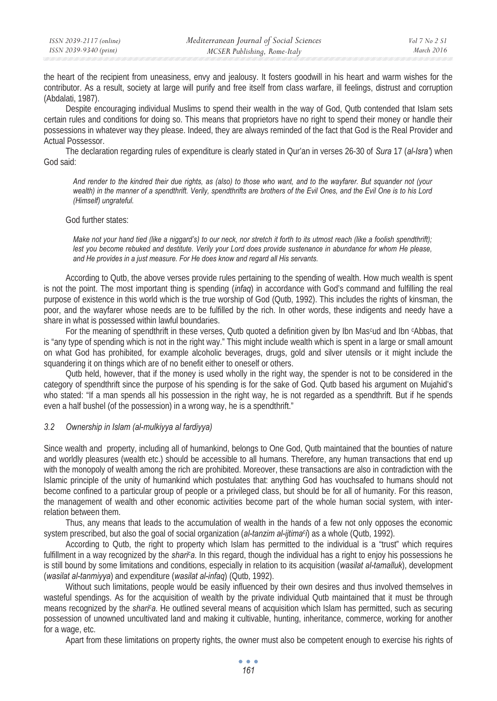the heart of the recipient from uneasiness, envy and jealousy. It fosters goodwill in his heart and warm wishes for the contributor. As a result, society at large will purify and free itself from class warfare, ill feelings, distrust and corruption (Abdalati, 1987).

Despite encouraging individual Muslims to spend their wealth in the way of God, Qutb contended that Islam sets certain rules and conditions for doing so. This means that proprietors have no right to spend their money or handle their possessions in whatever way they please. Indeed, they are always reminded of the fact that God is the Real Provider and Actual Possessor.

The declaration regarding rules of expenditure is clearly stated in Qur'an in verses 26-30 of *Sura* 17 (*al-Isra'*) when God said:

*And render to the kindred their due rights, as (also) to those who want, and to the wayfarer. But squander not (your wealth) in the manner of a spendthrift. Verily, spendthrifts are brothers of the Evil Ones, and the Evil One is to his Lord (Himself) ungrateful.* 

#### God further states:

*Make not your hand tied (like a niggard's) to our neck, nor stretch it forth to its utmost reach (like a foolish spendthrift);*  lest you become rebuked and destitute. Verily your Lord does provide sustenance in abundance for whom He please, *and He provides in a just measure. For He does know and regard all His servants.* 

According to Qutb, the above verses provide rules pertaining to the spending of wealth. How much wealth is spent is not the point. The most important thing is spending (*infaq*) in accordance with God's command and fulfilling the real purpose of existence in this world which is the true worship of God (Qutb, 1992). This includes the rights of kinsman, the poor, and the wayfarer whose needs are to be fulfilled by the rich. In other words, these indigents and needy have a share in what is possessed within lawful boundaries.

For the meaning of spendthrift in these verses, Qutb quoted a definition given by Ibn Mas<sup>c</sup>ud and Ibn <sup>c</sup>Abbas, that is "any type of spending which is not in the right way." This might include wealth which is spent in a large or small amount on what God has prohibited, for example alcoholic beverages, drugs, gold and silver utensils or it might include the squandering it on things which are of no benefit either to oneself or others.

Qutb held, however, that if the money is used wholly in the right way, the spender is not to be considered in the category of spendthrift since the purpose of his spending is for the sake of God. Qutb based his argument on Mujahid's who stated: "If a man spends all his possession in the right way, he is not regarded as a spendthrift. But if he spends even a half bushel (of the possession) in a wrong way, he is a spendthrift."

#### *3.2 Ownership in Islam (al-mulkiyya al fardiyya)*

Since wealth and property, including all of humankind, belongs to One God, Qutb maintained that the bounties of nature and worldly pleasures (wealth etc.) should be accessible to all humans. Therefore, any human transactions that end up with the monopoly of wealth among the rich are prohibited. Moreover, these transactions are also in contradiction with the Islamic principle of the unity of humankind which postulates that: anything God has vouchsafed to humans should not become confined to a particular group of people or a privileged class, but should be for all of humanity. For this reason, the management of wealth and other economic activities become part of the whole human social system, with interrelation between them.

Thus, any means that leads to the accumulation of wealth in the hands of a few not only opposes the economic system prescribed, but also the goal of social organization (*al-tanzim al-ijtimac i*) as a whole (Qutb, 1992).

According to Qutb, the right to property which Islam has permitted to the individual is a "trust" which requires fulfillment in a way recognized by the *shari*<sup>c</sup>a. In this regard, though the individual has a right to enjoy his possessions he is still bound by some limitations and conditions, especially in relation to its acquisition (*wasilat al-tamalluk*), development (*wasilat al-tanmiyya*) and expenditure (*wasilat al-infaq*) (Qutb, 1992).

Without such limitations, people would be easily influenced by their own desires and thus involved themselves in wasteful spendings. As for the acquisition of wealth by the private individual Qutb maintained that it must be through means recognized by the *shari<sup>c</sup>a*. He outlined several means of acquisition which Islam has permitted, such as securing possession of unowned uncultivated land and making it cultivable, hunting, inheritance, commerce, working for another for a wage, etc.

Apart from these limitations on property rights, the owner must also be competent enough to exercise his rights of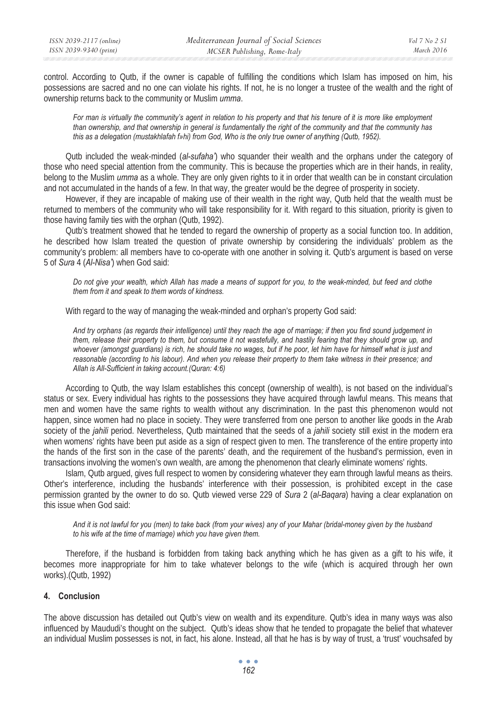control. According to Qutb, if the owner is capable of fulfilling the conditions which Islam has imposed on him, his possessions are sacred and no one can violate his rights. If not, he is no longer a trustee of the wealth and the right of ownership returns back to the community or Muslim *umma*.

*For man is virtually the community's agent in relation to his property and that his tenure of it is more like employment than ownership, and that ownership in general is fundamentally the right of the community and that the community has this as a delegation (mustakhlafah f»hi) from God, Who is the only true owner of anything (Qutb, 1952).* 

Qutb included the weak-minded (*al-sufaha'*) who squander their wealth and the orphans under the category of those who need special attention from the community. This is because the properties which are in their hands, in reality, belong to the Muslim *umma* as a whole. They are only given rights to it in order that wealth can be in constant circulation and not accumulated in the hands of a few. In that way, the greater would be the degree of prosperity in society.

However, if they are incapable of making use of their wealth in the right way, Qutb held that the wealth must be returned to members of the community who will take responsibility for it. With regard to this situation, priority is given to those having family ties with the orphan (Qutb, 1992).

Qutb's treatment showed that he tended to regard the ownership of property as a social function too. In addition, he described how Islam treated the question of private ownership by considering the individuals' problem as the community's problem: all members have to co-operate with one another in solving it. Qutb's argument is based on verse 5 of *Sura* 4 (*Al-Nisa'*) when God said:

*Do not give your wealth, which Allah has made a means of support for you, to the weak-minded, but feed and clothe them from it and speak to them words of kindness.* 

With regard to the way of managing the weak-minded and orphan's property God said:

*And try orphans (as regards their intelligence) until they reach the age of marriage; if then you find sound judgement in*  them, release their property to them, but consume it not wastefully, and hastily fearing that they should grow up, and *whoever (amongst guardians) is rich, he should take no wages, but if he poor, let him have for himself what is just and reasonable (according to his labour). And when you release their property to them take witness in their presence; and Allah is All-Sufficient in taking account.(Quran: 4:6)* 

According to Qutb, the way Islam establishes this concept (ownership of wealth), is not based on the individual's status or sex. Every individual has rights to the possessions they have acquired through lawful means. This means that men and women have the same rights to wealth without any discrimination. In the past this phenomenon would not happen, since women had no place in society. They were transferred from one person to another like goods in the Arab society of the *jahili* period. Nevertheless, Qutb maintained that the seeds of a *jahili* society still exist in the modern era when womens' rights have been put aside as a sign of respect given to men. The transference of the entire property into the hands of the first son in the case of the parents' death, and the requirement of the husband's permission, even in transactions involving the women's own wealth, are among the phenomenon that clearly eliminate womens' rights.

Islam, Qutb argued, gives full respect to women by considering whatever they earn through lawful means as theirs. Other's interference, including the husbands' interference with their possession, is prohibited except in the case permission granted by the owner to do so. Qutb viewed verse 229 of *Sura* 2 (*al-Baqara*) having a clear explanation on this issue when God said:

*And it is not lawful for you (men) to take back (from your wives) any of your Mahar (bridal-money given by the husband to his wife at the time of marriage) which you have given them.* 

Therefore, if the husband is forbidden from taking back anything which he has given as a gift to his wife, it becomes more inappropriate for him to take whatever belongs to the wife (which is acquired through her own works).(Qutb, 1992)

### **4. Conclusion**

The above discussion has detailed out Qutb's view on wealth and its expenditure. Qutb's idea in many ways was also influenced by Maududi's thought on the subject. Qutb's ideas show that he tended to propagate the belief that whatever an individual Muslim possesses is not, in fact, his alone. Instead, all that he has is by way of trust, a 'trust' vouchsafed by